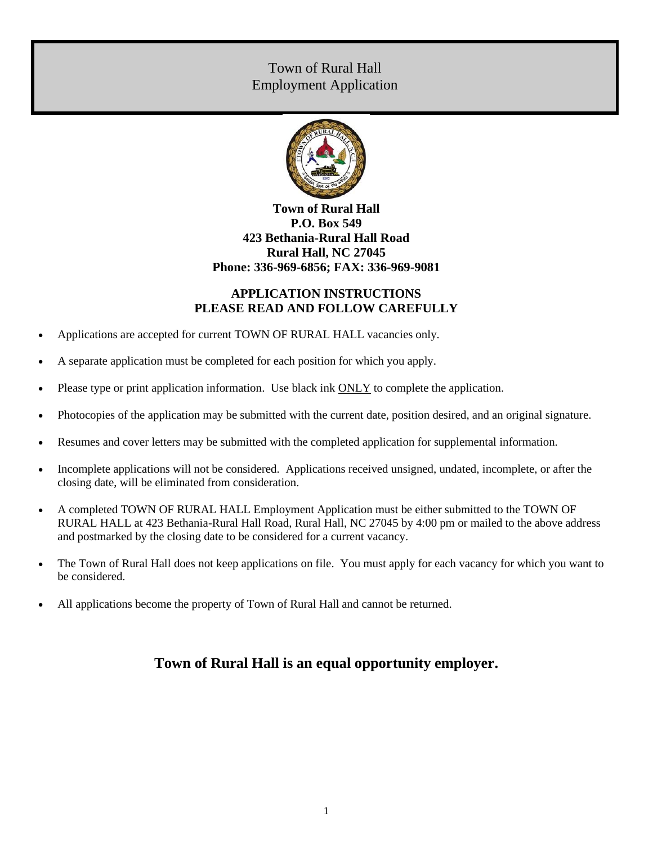# Town of Rural Hall Employment Application



## **Town of Rural Hall P.O. Box 549 423 Bethania-Rural Hall Road Rural Hall, NC 27045 Phone: 336-969-6856; FAX: 336-969-9081**

## **APPLICATION INSTRUCTIONS PLEASE READ AND FOLLOW CAREFULLY**

- Applications are accepted for current TOWN OF RURAL HALL vacancies only.
- A separate application must be completed for each position for which you apply.
- Please type or print application information. Use black ink ONLY to complete the application.
- Photocopies of the application may be submitted with the current date, position desired, and an original signature.
- Resumes and cover letters may be submitted with the completed application for supplemental information.
- Incomplete applications will not be considered. Applications received unsigned, undated, incomplete, or after the closing date, will be eliminated from consideration.
- A completed TOWN OF RURAL HALL Employment Application must be either submitted to the TOWN OF RURAL HALL at 423 Bethania-Rural Hall Road, Rural Hall, NC 27045 by 4:00 pm or mailed to the above address and postmarked by the closing date to be considered for a current vacancy.
- The Town of Rural Hall does not keep applications on file. You must apply for each vacancy for which you want to be considered.
- All applications become the property of Town of Rural Hall and cannot be returned.

# **Town of Rural Hall is an equal opportunity employer.**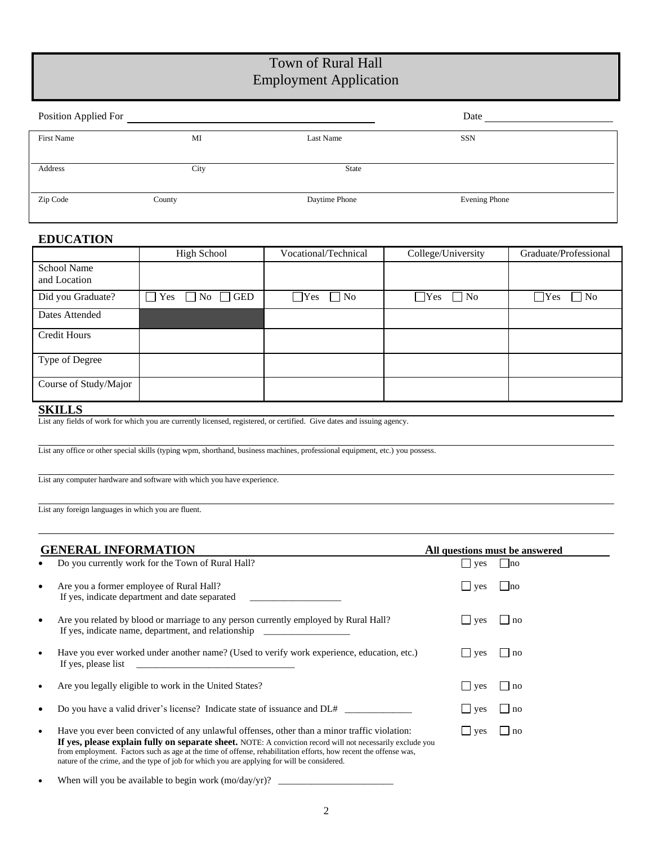# Town of Rural Hall Employment Application

| Position Applied For |        |               | Date          |
|----------------------|--------|---------------|---------------|
| First Name           | MI     | Last Name     | <b>SSN</b>    |
|                      |        |               |               |
| Address              | City   | State         |               |
|                      |        |               |               |
| Zip Code             | County | Daytime Phone | Evening Phone |
|                      |        |               |               |

### **EDUCATION**

|                             | <b>High School</b>                 | Vocational/Technical    | College/University        | Graduate/Professional     |
|-----------------------------|------------------------------------|-------------------------|---------------------------|---------------------------|
| School Name<br>and Location |                                    |                         |                           |                           |
|                             |                                    |                         |                           |                           |
| Did you Graduate?           | $\Box$ Yes<br>$\Box$ No $\Box$ GED | $\Box$ Yes<br>$\Box$ No | $\Box$ No<br><b>T</b> Yes | $\Box$ No<br><b>T</b> Yes |
| Dates Attended              |                                    |                         |                           |                           |
| <b>Credit Hours</b>         |                                    |                         |                           |                           |
| Type of Degree              |                                    |                         |                           |                           |
| Course of Study/Major       |                                    |                         |                           |                           |

#### **SKILLS**

List any fields of work for which you are currently licensed, registered, or certified. Give dates and issuing agency.

List any office or other special skills (typing wpm, shorthand, business machines, professional equipment, etc.) you possess.

List any computer hardware and software with which you have experience.

List any foreign languages in which you are fluent.

|           | <b>GENERAL INFORMATION</b>                                                                                                                                                                                                                                                                                                                                                                                                    |                     | All questions must be answered |  |
|-----------|-------------------------------------------------------------------------------------------------------------------------------------------------------------------------------------------------------------------------------------------------------------------------------------------------------------------------------------------------------------------------------------------------------------------------------|---------------------|--------------------------------|--|
|           | Do you currently work for the Town of Rural Hall?                                                                                                                                                                                                                                                                                                                                                                             | ves                 | no                             |  |
| ٠         | Are you a former employee of Rural Hall?<br>If yes, indicate department and date separated                                                                                                                                                                                                                                                                                                                                    | $\vert \vert$ yes   | Ino                            |  |
| $\bullet$ | Are you related by blood or marriage to any person currently employed by Rural Hall?<br>If yes, indicate name, department, and relationship                                                                                                                                                                                                                                                                                   | $\vert \vert$ ves   | $\ln 0$                        |  |
| $\bullet$ | Have you ever worked under another name? (Used to verify work experience, education, etc.)<br>If yes, please list<br>the control of the control of the control of the control of the control of the control of                                                                                                                                                                                                                | l ves               | $\ln 0$                        |  |
| ٠         | Are you legally eligible to work in the United States?                                                                                                                                                                                                                                                                                                                                                                        | $\vert \vert$ ves   | $\ln 0$                        |  |
| ٠         | Do you have a valid driver's license? Indicate state of issuance and DL#                                                                                                                                                                                                                                                                                                                                                      | $\vert \vert$ ves   | $\ln 0$                        |  |
| ٠         | Have you ever been convicted of any unlawful offenses, other than a minor traffic violation:<br>If yes, please explain fully on separate sheet. NOTE: A conviction record will not necessarily exclude you<br>from employment. Factors such as age at the time of offense, rehabilitation efforts, how recent the offense was,<br>nature of the crime, and the type of job for which you are applying for will be considered. | $\vert$ $\vert$ yes | $\ln 0$                        |  |

When will you be available to begin work  $(mo/day/yr)?$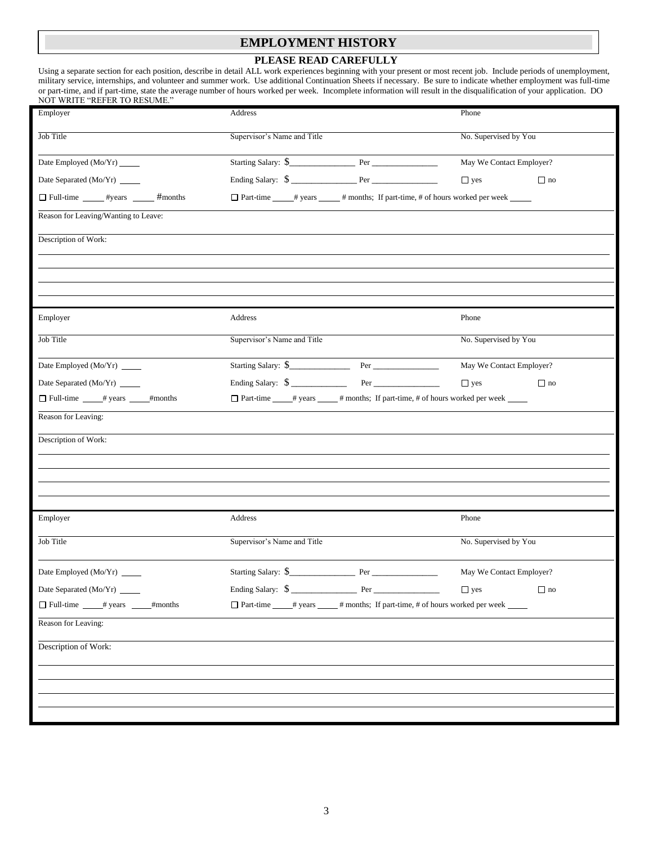### **EMPLOYMENT HISTORY**

#### **PLEASE READ CAREFULLY**

Using a separate section for each position, describe in detail ALL work experiences beginning with your present or most recent job. Include periods of unemployment, military service, internships, and volunteer and summer work. Use additional Continuation Sheets if necessary. Be sure to indicate whether employment was full-time or part-time, and if part-time, state the average number of hours worked per week. Incomplete information will result in the disqualification of your application. DO NOT WRITE "REFER TO RESUME."

| Employer                               | Address                                                                                 | Phone                    |
|----------------------------------------|-----------------------------------------------------------------------------------------|--------------------------|
| Job Title                              | Supervisor's Name and Title                                                             | No. Supervised by You    |
| Date Employed (Mo/Yr) _____            |                                                                                         | May We Contact Employer? |
| Date Separated (Mo/Yr) ______          |                                                                                         | $\Box$ yes<br>$\Box$ no  |
| Full-time _____ #years _____ #months   | □ Part-time _____# years _____# months; If part-time, # of hours worked per week _____  |                          |
| Reason for Leaving/Wanting to Leave:   |                                                                                         |                          |
| Description of Work:                   |                                                                                         |                          |
|                                        |                                                                                         |                          |
|                                        |                                                                                         |                          |
|                                        |                                                                                         |                          |
| Employer                               | Address                                                                                 | Phone                    |
| Job Title                              | Supervisor's Name and Title                                                             | No. Supervised by You    |
| Date Employed (Mo/Yr) _____            | Starting Salary: \$                                                                     | May We Contact Employer? |
| Date Separated (Mo/Yr) _____           | Ending Salary: $\quad \textcircled{}$                                                   | $\Box$ yes<br>$\Box$ no  |
| Full-time # years # # months           | □ Part-time _____# years _____ # months; If part-time, # of hours worked per week _____ |                          |
| Reason for Leaving:                    |                                                                                         |                          |
| Description of Work:                   |                                                                                         |                          |
|                                        |                                                                                         |                          |
|                                        |                                                                                         |                          |
|                                        |                                                                                         |                          |
| Employer                               | Address                                                                                 | Phone                    |
| Job Title                              | Supervisor's Name and Title                                                             | No. Supervised by You    |
| Date Employed (Mo/Yr) ______           |                                                                                         | May We Contact Employer? |
| Date Separated (Mo/Yr) ______          | Ending Salary: \$<br>Per                                                                | $\Box$ yes<br>$\Box$ no  |
| □ Full-time _____# years ______#months | □ Part-time ____# years _____# months; If part-time, # of hours worked per week _____   |                          |
| Reason for Leaving:                    |                                                                                         |                          |
| Description of Work:                   |                                                                                         |                          |
|                                        |                                                                                         |                          |
|                                        |                                                                                         |                          |
|                                        |                                                                                         |                          |
|                                        |                                                                                         |                          |